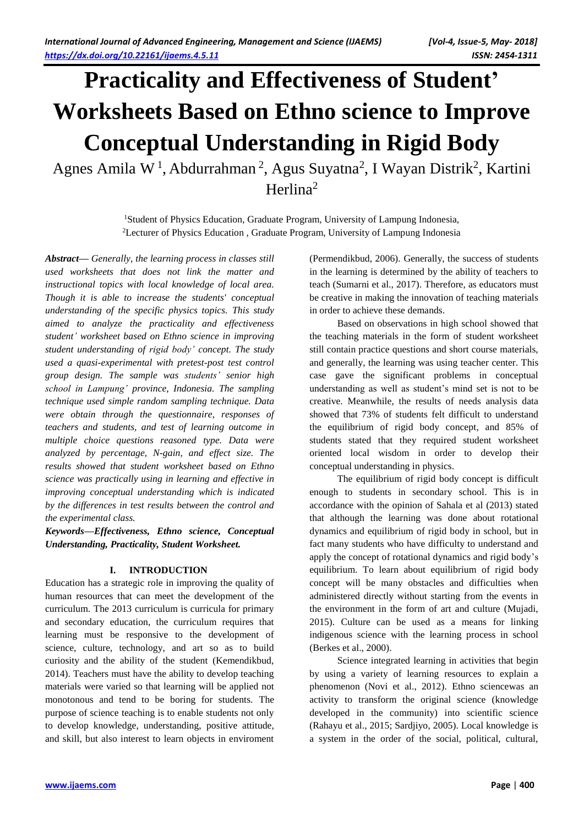# **Practicality and Effectiveness of Student' Worksheets Based on Ethno science to Improve Conceptual Understanding in Rigid Body**

Agnes Amila W<sup>1</sup>, Abdurrahman<sup>2</sup>, Agus Suyatna<sup>2</sup>, I Wayan Distrik<sup>2</sup>, Kartini Herlina<sup>2</sup>

> <sup>1</sup>Student of Physics Education, Graduate Program, University of Lampung Indonesia, <sup>2</sup>Lecturer of Physics Education , Graduate Program, University of Lampung Indonesia

*Abstract— Generally, the learning process in classes still used worksheets that does not link the matter and instructional topics with local knowledge of local area. Though it is able to increase the students' conceptual understanding of the specific physics topics. This study aimed to analyze the practicality and effectiveness student' worksheet based on Ethno science in improving student understanding of rigid body' concept. The study used a quasi-experimental with pretest-post test control group design. The sample was students' senior high school in Lampung' province, Indonesia. The sampling technique used simple random sampling technique. Data were obtain through the questionnaire, responses of teachers and students, and test of learning outcome in multiple choice questions reasoned type. Data were analyzed by percentage, N-gain, and effect size. The results showed that student worksheet based on Ethno science was practically using in learning and effective in improving conceptual understanding which is indicated by the differences in test results between the control and the experimental class.*

*Keywords***—***Effectiveness, Ethno science, Conceptual Understanding, Practicality, Student Worksheet.*

# **I. INTRODUCTION**

Education has a strategic role in improving the quality of human resources that can meet the development of the curriculum. The 2013 curriculum is curricula for primary and secondary education, the curriculum requires that learning must be responsive to the development of science, culture, technology, and art so as to build curiosity and the ability of the student (Kemendikbud, 2014). Teachers must have the ability to develop teaching materials were varied so that learning will be applied not monotonous and tend to be boring for students. The purpose of science teaching is to enable students not only to develop knowledge, understanding, positive attitude, and skill, but also interest to learn objects in enviroment (Permendikbud, 2006). Generally, the success of students in the learning is determined by the ability of teachers to teach (Sumarni et al., 2017). Therefore, as educators must be creative in making the innovation of teaching materials in order to achieve these demands.

Based on observations in high school showed that the teaching materials in the form of student worksheet still contain practice questions and short course materials, and generally, the learning was using teacher center. This case gave the significant problems in conceptual understanding as well as student's mind set is not to be creative. Meanwhile, the results of needs analysis data showed that 73% of students felt difficult to understand the equilibrium of rigid body concept, and 85% of students stated that they required student worksheet oriented local wisdom in order to develop their conceptual understanding in physics.

The equilibrium of rigid body concept is difficult enough to students in secondary school. This is in accordance with the opinion of Sahala et al (2013) stated that although the learning was done about rotational dynamics and equilibrium of rigid body in school, but in fact many students who have difficulty to understand and apply the concept of rotational dynamics and rigid body's equilibrium. To learn about equilibrium of rigid body concept will be many obstacles and difficulties when administered directly without starting from the events in the environment in the form of art and culture (Mujadi, 2015). Culture can be used as a means for linking indigenous science with the learning process in school (Berkes et al., 2000).

Science integrated learning in activities that begin by using a variety of learning resources to explain a phenomenon (Novi et al., 2012). Ethno sciencewas an activity to transform the original science (knowledge developed in the community) into scientific science (Rahayu et al., 2015; Sardjiyo, 2005). Local knowledge is a system in the order of the social, political, cultural,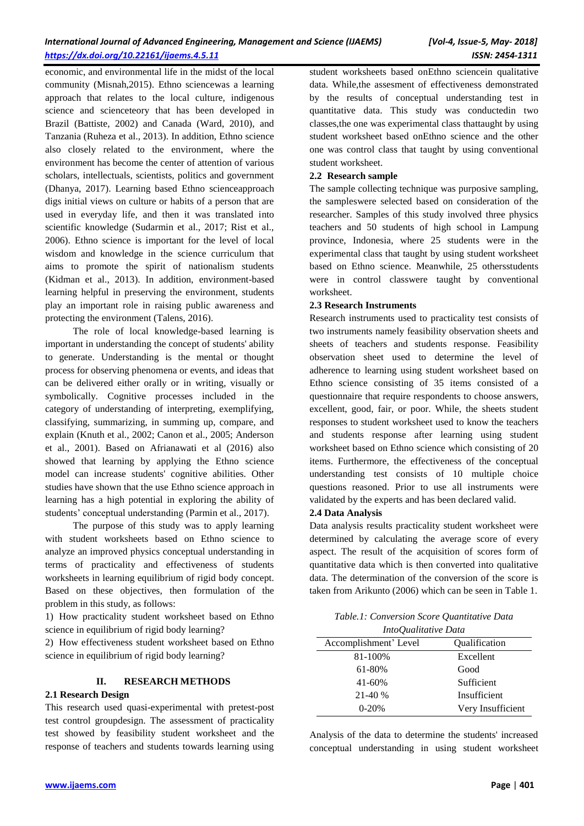economic, and environmental life in the midst of the local community (Misnah,2015). Ethno sciencewas a learning approach that relates to the local culture, indigenous science and scienceteory that has been developed in Brazil (Battiste, 2002) and Canada (Ward, 2010), and Tanzania (Ruheza et al., 2013). In addition, Ethno science also closely related to the environment, where the environment has become the center of attention of various scholars, intellectuals, scientists, politics and government (Dhanya, 2017). Learning based Ethno scienceapproach digs initial views on culture or habits of a person that are used in everyday life, and then it was translated into scientific knowledge (Sudarmin et al., 2017; Rist et al., 2006). Ethno science is important for the level of local wisdom and knowledge in the science curriculum that aims to promote the spirit of nationalism students (Kidman et al., 2013). In addition, environment-based learning helpful in preserving the environment, students play an important role in raising public awareness and protecting the environment (Talens, 2016).

The role of local knowledge-based learning is important in understanding the concept of students' ability to generate. Understanding is the mental or thought process for observing phenomena or events, and ideas that can be delivered either orally or in writing, visually or symbolically. Cognitive processes included in the category of understanding of interpreting, exemplifying, classifying, summarizing, in summing up, compare, and explain (Knuth et al., 2002; Canon et al., 2005; Anderson et al., 2001). Based on Afrianawati et al (2016) also showed that learning by applying the Ethno science model can increase students' cognitive abilities. Other studies have shown that the use Ethno science approach in learning has a high potential in exploring the ability of students' conceptual understanding (Parmin et al., 2017).

The purpose of this study was to apply learning with student worksheets based on Ethno science to analyze an improved physics conceptual understanding in terms of practicality and effectiveness of students worksheets in learning equilibrium of rigid body concept. Based on these objectives, then formulation of the problem in this study, as follows:

1) How practicality student worksheet based on Ethno science in equilibrium of rigid body learning?

2) How effectiveness student worksheet based on Ethno science in equilibrium of rigid body learning?

# **II. RESEARCH METHODS**

#### **2.1 Research Design**

This research used quasi-experimental with pretest-post test control groupdesign. The assessment of practicality test showed by feasibility student worksheet and the response of teachers and students towards learning using

student worksheets based onEthno sciencein qualitative data. While,the assesment of effectiveness demonstrated by the results of conceptual understanding test in quantitative data. This study was conductedin two classes,the one was experimental class thattaught by using student worksheet based onEthno science and the other one was control class that taught by using conventional student worksheet.

#### **2.2 Research sample**

The sample collecting technique was purposive sampling, the sampleswere selected based on consideration of the researcher. Samples of this study involved three physics teachers and 50 students of high school in Lampung province, Indonesia, where 25 students were in the experimental class that taught by using student worksheet based on Ethno science. Meanwhile, 25 othersstudents were in control classwere taught by conventional worksheet.

#### **2.3 Research Instruments**

Research instruments used to practicality test consists of two instruments namely feasibility observation sheets and sheets of teachers and students response. Feasibility observation sheet used to determine the level of adherence to learning using student worksheet based on Ethno science consisting of 35 items consisted of a questionnaire that require respondents to choose answers, excellent, good, fair, or poor. While, the sheets student responses to student worksheet used to know the teachers and students response after learning using student worksheet based on Ethno science which consisting of 20 items. Furthermore, the effectiveness of the conceptual understanding test consists of 10 multiple choice questions reasoned. Prior to use all instruments were validated by the experts and has been declared valid.

#### **2.4 Data Analysis**

Data analysis results practicality student worksheet were determined by calculating the average score of every aspect. The result of the acquisition of scores form of quantitative data which is then converted into qualitative data. The determination of the conversion of the score is taken from Arikunto (2006) which can be seen in Table 1.

| Table.1: Conversion Score Quantitative Data |
|---------------------------------------------|
| IntoOualitative Data                        |

| <i>IntoOuanianve Data</i> |                   |  |  |
|---------------------------|-------------------|--|--|
| Accomplishment' Level     | Qualification     |  |  |
| 81-100%                   | Excellent         |  |  |
| 61-80%                    | Good              |  |  |
| 41-60%                    | Sufficient        |  |  |
| $21-40%$                  | Insufficient      |  |  |
| $0-20%$                   | Very Insufficient |  |  |

Analysis of the data to determine the students' increased conceptual understanding in using student worksheet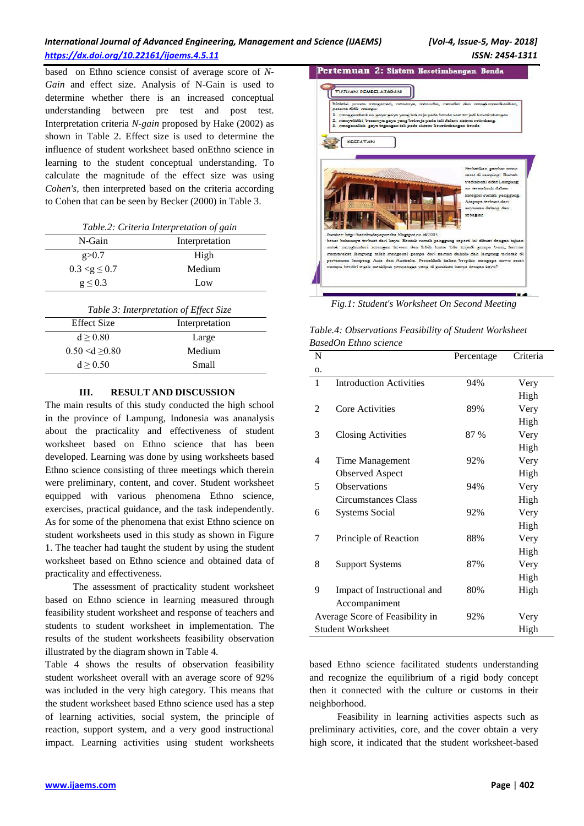# *International Journal of Advanced Engineering, Management and Science (IJAEMS) [Vol-4, Issue-5, May- 2018] <https://dx.doi.org/10.22161/ijaems.4.5.11>ISSN: 2454-1311*

based on Ethno science consist of average score of *N-Gain* and effect size. Analysis of N-Gain is used to determine whether there is an increased conceptual understanding between pre test and post test. Interpretation criteria *N-gain* proposed by Hake (2002) as shown in Table 2. Effect size is used to determine the influence of student worksheet based onEthno science in learning to the student conceptual understanding. To calculate the magnitude of the effect size was using *Cohen's,* then interpreted based on the criteria according to Cohen that can be seen by Becker (2000) in Table 3.

| Table.2: Criteria Interpretation of gain |                |  |  |
|------------------------------------------|----------------|--|--|
| N-Gain                                   | Interpretation |  |  |
| g > 0.7                                  | High           |  |  |
| $0.3 < g \leq 0.7$                       | Medium         |  |  |
| $g \leq 0.3$                             | Low            |  |  |

| Table 3: Interpretation of Effect Size |                |  |  |
|----------------------------------------|----------------|--|--|
| Effect Size                            | Interpretation |  |  |
| d > 0.80                               | Large          |  |  |
| $0.50 \le d \ge 0.80$                  | Medium         |  |  |
| d > 0.50                               | Small          |  |  |

#### **III. RESULT AND DISCUSSION**

The main results of this study conducted the high school in the province of Lampung, Indonesia was ananalysis about the practicality and effectiveness of student worksheet based on Ethno science that has been developed. Learning was done by using worksheets based Ethno science consisting of three meetings which therein were preliminary, content, and cover. Student worksheet equipped with various phenomena Ethno science, exercises, practical guidance, and the task independently. As for some of the phenomena that exist Ethno science on student worksheets used in this study as shown in Figure 1. The teacher had taught the student by using the student worksheet based on Ethno science and obtained data of practicality and effectiveness.

The assessment of practicality student worksheet based on Ethno science in learning measured through feasibility student worksheet and response of teachers and students to student worksheet in implementation. The results of the student worksheets feasibility observation illustrated by the diagram shown in Table 4.

Table 4 shows the results of observation feasibility student worksheet overall with an average score of 92% was included in the very high category. This means that the student worksheet based Ethno science used has a step of learning activities, social system, the principle of reaction, support system, and a very good instructional impact. Learning activities using student worksheets



*Fig.1: Student's Worksheet On Second Meeting*

| Table.4: Observations Feasibility of Student Worksheet |  |
|--------------------------------------------------------|--|
| BasedOn Ethno science                                  |  |

| N              |                                 | Percentage | Criteria |
|----------------|---------------------------------|------------|----------|
| 0.             |                                 |            |          |
| 1              | <b>Introduction Activities</b>  | 94%        | Very     |
|                |                                 |            | High     |
| $\overline{2}$ | Core Activities                 | 89%        | Very     |
|                |                                 |            | High     |
| 3              | <b>Closing Activities</b>       | 87 %       | Very     |
|                |                                 |            | High     |
| 4              | Time Management                 | 92%        | Very     |
|                | <b>Observed Aspect</b>          |            | High     |
| 5              | <b>Observations</b>             | 94%        | Very     |
|                | Circumstances Class             |            | High     |
| 6              | <b>Systems Social</b>           | 92%        | Very     |
|                |                                 |            | High     |
| 7              | Principle of Reaction           | 88%        | Very     |
|                |                                 |            | High     |
| 8              | <b>Support Systems</b>          | 87%        | Very     |
|                |                                 |            | High     |
| 9              | Impact of Instructional and     | 80%        | High     |
|                | Accompaniment                   |            |          |
|                | Average Score of Feasibility in | 92%        | Very     |
|                | <b>Student Worksheet</b>        |            | High     |

based Ethno science facilitated students understanding and recognize the equilibrium of a rigid body concept then it connected with the culture or customs in their neighborhood.

Feasibility in learning activities aspects such as preliminary activities, core, and the cover obtain a very high score, it indicated that the student worksheet-based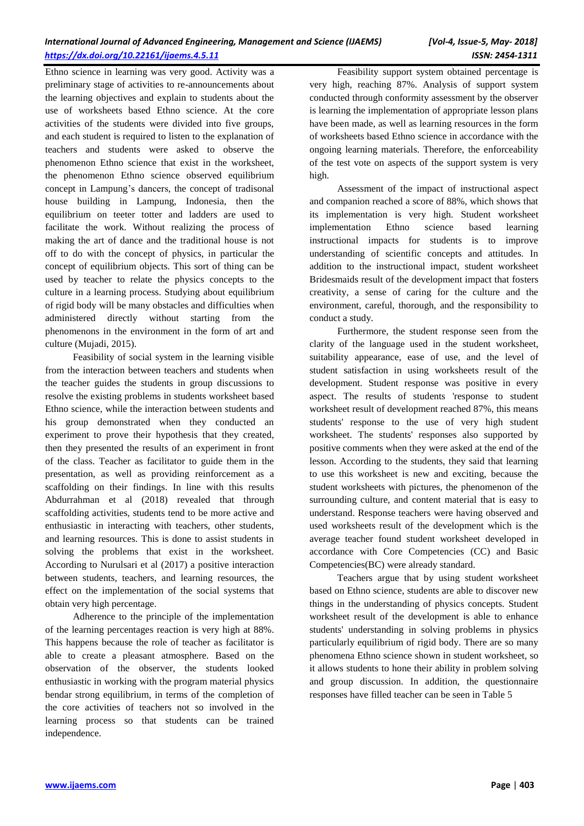Ethno science in learning was very good. Activity was a preliminary stage of activities to re-announcements about the learning objectives and explain to students about the use of worksheets based Ethno science. At the core activities of the students were divided into five groups, and each student is required to listen to the explanation of teachers and students were asked to observe the phenomenon Ethno science that exist in the worksheet, the phenomenon Ethno science observed equilibrium concept in Lampung's dancers, the concept of tradisonal house building in Lampung, Indonesia, then the equilibrium on teeter totter and ladders are used to facilitate the work. Without realizing the process of making the art of dance and the traditional house is not off to do with the concept of physics, in particular the concept of equilibrium objects. This sort of thing can be used by teacher to relate the physics concepts to the culture in a learning process. Studying about equilibrium of rigid body will be many obstacles and difficulties when administered directly without starting from the phenomenons in the environment in the form of art and culture (Mujadi, 2015).

Feasibility of social system in the learning visible from the interaction between teachers and students when the teacher guides the students in group discussions to resolve the existing problems in students worksheet based Ethno science, while the interaction between students and his group demonstrated when they conducted an experiment to prove their hypothesis that they created, then they presented the results of an experiment in front of the class. Teacher as facilitator to guide them in the presentation, as well as providing reinforcement as a scaffolding on their findings. In line with this results Abdurrahman et al (2018) revealed that through scaffolding activities, students tend to be more active and enthusiastic in interacting with teachers, other students, and learning resources. This is done to assist students in solving the problems that exist in the worksheet. According to Nurulsari et al (2017) a positive interaction between students, teachers, and learning resources, the effect on the implementation of the social systems that obtain very high percentage.

Adherence to the principle of the implementation of the learning percentages reaction is very high at 88%. This happens because the role of teacher as facilitator is able to create a pleasant atmosphere. Based on the observation of the observer, the students looked enthusiastic in working with the program material physics bendar strong equilibrium, in terms of the completion of the core activities of teachers not so involved in the learning process so that students can be trained independence.

Feasibility support system obtained percentage is very high, reaching 87%. Analysis of support system conducted through conformity assessment by the observer is learning the implementation of appropriate lesson plans have been made, as well as learning resources in the form of worksheets based Ethno science in accordance with the ongoing learning materials. Therefore, the enforceability of the test vote on aspects of the support system is very high.

Assessment of the impact of instructional aspect and companion reached a score of 88%, which shows that its implementation is very high. Student worksheet implementation Ethno science based learning instructional impacts for students is to improve understanding of scientific concepts and attitudes. In addition to the instructional impact, student worksheet Bridesmaids result of the development impact that fosters creativity, a sense of caring for the culture and the environment, careful, thorough, and the responsibility to conduct a study.

Furthermore, the student response seen from the clarity of the language used in the student worksheet, suitability appearance, ease of use, and the level of student satisfaction in using worksheets result of the development. Student response was positive in every aspect. The results of students 'response to student worksheet result of development reached 87%, this means students' response to the use of very high student worksheet. The students' responses also supported by positive comments when they were asked at the end of the lesson. According to the students, they said that learning to use this worksheet is new and exciting, because the student worksheets with pictures, the phenomenon of the surrounding culture, and content material that is easy to understand. Response teachers were having observed and used worksheets result of the development which is the average teacher found student worksheet developed in accordance with Core Competencies (CC) and Basic Competencies(BC) were already standard.

Teachers argue that by using student worksheet based on Ethno science, students are able to discover new things in the understanding of physics concepts. Student worksheet result of the development is able to enhance students' understanding in solving problems in physics particularly equilibrium of rigid body. There are so many phenomena Ethno science shown in student worksheet, so it allows students to hone their ability in problem solving and group discussion. In addition, the questionnaire responses have filled teacher can be seen in Table 5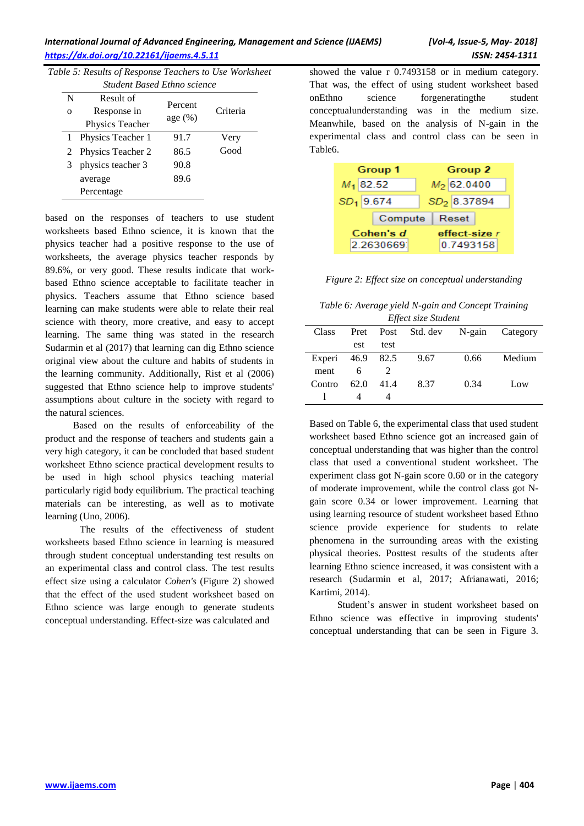# *International Journal of Advanced Engineering, Management and Science (IJAEMS) [Vol-4, Issue-5, May- 2018] <https://dx.doi.org/10.22161/ijaems.4.5.11>ISSN: 2454-1311*

*Table 5: Results of Response Teachers to Use Worksheet* 

| <b>Student Based Ethno science</b> |                          |            |          |
|------------------------------------|--------------------------|------------|----------|
| N                                  | Result of                | Percent    |          |
| $\mathbf{O}$                       | Response in              |            | Criteria |
|                                    | Physics Teacher          | age $(\%)$ |          |
| 1                                  | Physics Teacher 1        | 91.7       | Very     |
| 2                                  | <b>Physics Teacher 2</b> | 86.5       | Good     |
| 3                                  | physics teacher 3        | 90.8       |          |
|                                    | average                  | 89.6       |          |
|                                    | Percentage               |            |          |
|                                    |                          |            |          |

based on the responses of teachers to use student worksheets based Ethno science, it is known that the physics teacher had a positive response to the use of worksheets, the average physics teacher responds by 89.6%, or very good. These results indicate that workbased Ethno science acceptable to facilitate teacher in physics. Teachers assume that Ethno science based learning can make students were able to relate their real science with theory, more creative, and easy to accept learning. The same thing was stated in the research Sudarmin et al (2017) that learning can dig Ethno science original view about the culture and habits of students in the learning community. Additionally, Rist et al (2006) suggested that Ethno science help to improve students' assumptions about culture in the society with regard to the natural sciences.

Based on the results of enforceability of the product and the response of teachers and students gain a very high category, it can be concluded that based student worksheet Ethno science practical development results to be used in high school physics teaching material particularly rigid body equilibrium. The practical teaching materials can be interesting, as well as to motivate learning (Uno, 2006).

The results of the effectiveness of student worksheets based Ethno science in learning is measured through student conceptual understanding test results on an experimental class and control class. The test results effect size using a calculator *Cohen's* (Figure 2) showed that the effect of the used student worksheet based on Ethno science was large enough to generate students conceptual understanding. Effect-size was calculated and

showed the value r 0.7493158 or in medium category. That was, the effect of using student worksheet based onEthno science forgeneratingthe student conceptualunderstanding was in the medium size. Meanwhile, based on the analysis of N-gain in the experimental class and control class can be seen in Table6.

| <b>Group 1</b> | Group 2       |  |
|----------------|---------------|--|
| $M_1$ 82.52    | $M_2$ 62.0400 |  |
| $SD1$ 9.674    | $SD2$ 8.37894 |  |
| Compute        | Reset         |  |
| Cohen's d      | effect-size r |  |
| 2.2630669      | 0.7493158     |  |

*Figure 2: Effect size on conceptual understanding* 

*Table 6: Average yield N-gain and Concept Training Effect size Student*

| Liject size Statent |      |      |      |      |                          |
|---------------------|------|------|------|------|--------------------------|
| Class               | Pret | Post |      |      | Std. dev N-gain Category |
|                     | est  | test |      |      |                          |
| Experi 46.9 82.5    |      |      | 9.67 | 0.66 | Medium                   |
| ment                | 6    |      |      |      |                          |
| Contro              | 62.0 | 41.4 | 8.37 | 0.34 | Low                      |
|                     |      |      |      |      |                          |

Based on Table 6, the experimental class that used student worksheet based Ethno science got an increased gain of conceptual understanding that was higher than the control class that used a conventional student worksheet. The experiment class got N-gain score 0.60 or in the category of moderate improvement, while the control class got Ngain score 0.34 or lower improvement. Learning that using learning resource of student worksheet based Ethno science provide experience for students to relate phenomena in the surrounding areas with the existing physical theories. Posttest results of the students after learning Ethno science increased, it was consistent with a research (Sudarmin et al, 2017; Afrianawati, 2016; Kartimi, 2014).

Student's answer in student worksheet based on Ethno science was effective in improving students' conceptual understanding that can be seen in Figure 3.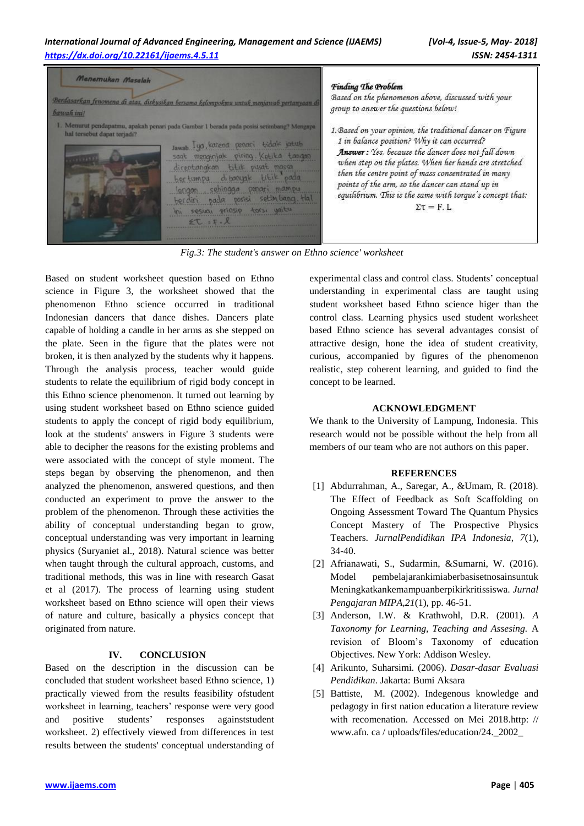

*Fig.3: The student's answer on Ethno science' worksheet*

Based on student worksheet question based on Ethno science in Figure 3, the worksheet showed that the phenomenon Ethno science occurred in traditional Indonesian dancers that dance dishes. Dancers plate capable of holding a candle in her arms as she stepped on the plate. Seen in the figure that the plates were not broken, it is then analyzed by the students why it happens. Through the analysis process, teacher would guide students to relate the equilibrium of rigid body concept in this Ethno science phenomenon. It turned out learning by using student worksheet based on Ethno science guided students to apply the concept of rigid body equilibrium, look at the students' answers in Figure 3 students were able to decipher the reasons for the existing problems and were associated with the concept of style moment. The steps began by observing the phenomenon, and then analyzed the phenomenon, answered questions, and then conducted an experiment to prove the answer to the problem of the phenomenon. Through these activities the ability of conceptual understanding began to grow, conceptual understanding was very important in learning physics (Suryaniet al., 2018). Natural science was better when taught through the cultural approach, customs, and traditional methods, this was in line with research Gasat et al (2017). The process of learning using student worksheet based on Ethno science will open their views of nature and culture, basically a physics concept that originated from nature.

# **IV. CONCLUSION**

Based on the description in the discussion can be concluded that student worksheet based Ethno science, 1) practically viewed from the results feasibility ofstudent worksheet in learning, teachers' response were very good and positive students' responses againststudent worksheet. 2) effectively viewed from differences in test results between the students' conceptual understanding of

experimental class and control class. Students' conceptual understanding in experimental class are taught using student worksheet based Ethno science higer than the control class. Learning physics used student worksheet based Ethno science has several advantages consist of attractive design, hone the idea of student creativity, curious, accompanied by figures of the phenomenon realistic, step coherent learning, and guided to find the concept to be learned.

#### **ACKNOWLEDGMENT**

We thank to the University of Lampung, Indonesia. This research would not be possible without the help from all members of our team who are not authors on this paper.

# **REFERENCES**

- [1] Abdurrahman, A., Saregar, A., &Umam, R. (2018). The Effect of Feedback as Soft Scaffolding on Ongoing Assessment Toward The Quantum Physics Concept Mastery of The Prospective Physics Teachers. *JurnalPendidikan IPA Indonesia*, *7*(1), 34-40.
- [2] Afrianawati, S., Sudarmin, &Sumarni, W. (2016). Model pembelajarankimiaberbasisetnosainsuntuk Meningkatkankemampuanberpikirkritissiswa. *Jurnal Pengajaran MIPA,21*(1), pp. 46-51.
- [3] Anderson, I.W. & Krathwohl, D.R. (2001). *A Taxonomy for Learning, Teaching and Assesing.* A revision of Bloom's Taxonomy of education Objectives. New York: Addison Wesley.
- [4] Arikunto, Suharsimi. (2006). *Dasar-dasar Evaluasi Pendidikan*. Jakarta: Bumi Aksara
- [5] Battiste, M. (2002). Indegenous knowledge and pedagogy in first nation education a literature review with recomenation. Accessed on Mei 2018.http: // www.afn. ca / uploads/files/education/24.\_2002\_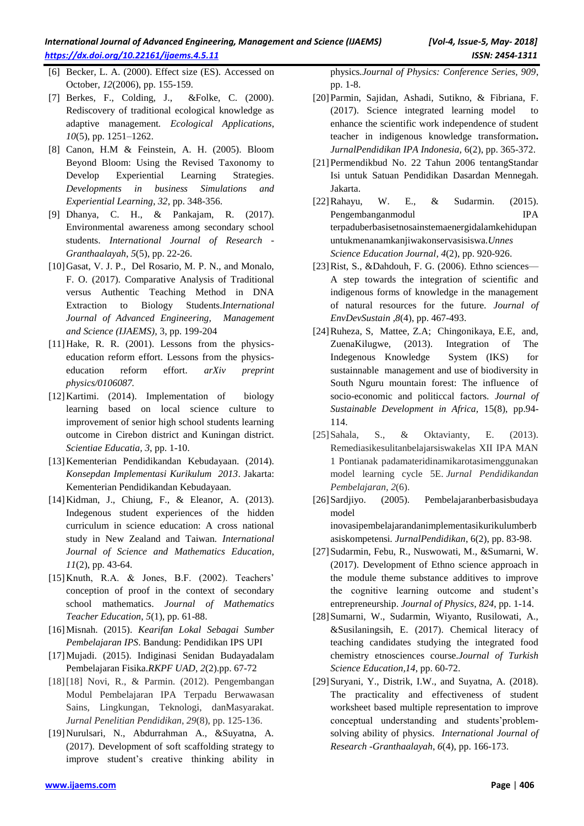- [6] Becker, L. A. (2000). Effect size (ES). Accessed on October, *12*(2006), pp. 155-159.
- [7] Berkes, F., Colding, J., &Folke, C. (2000). Rediscovery of traditional ecological knowledge as adaptive management*. Ecological Applications*, *10*(5), pp. 1251–1262.
- [8] Canon, H.M & Feinstein, A. H. (2005). Bloom Beyond Bloom: Using the Revised Taxonomy to Develop Experiential Learning Strategies. *Developments in business Simulations and Experiential Learning, 32*, pp. 348-356.
- [9] Dhanya, C. H., & Pankajam, R. (2017). Environmental awareness among secondary school students. *International Journal of Research - Granthaalayah*, *5*(5), pp. 22-26.
- [10] Gasat, V. J. P., Del Rosario, M. P. N., and Monalo, F. O. (2017). Comparative Analysis of Traditional versus Authentic Teaching Method in DNA Extraction to Biology Students.*International Journal of Advanced Engineering, Management and Science (IJAEMS)*, 3, pp. 199-204
- [11]Hake, R. R. (2001). Lessons from the physicseducation reform effort. Lessons from the physicseducation reform effort. *arXiv preprint physics/0106087.*
- [12] Kartimi. (2014). Implementation of biology learning based on local science culture to improvement of senior high school students learning outcome in Cirebon district and Kuningan district. *Scientiae Educatia, 3*, pp. 1-10.
- [13]Kementerian Pendidikandan Kebudayaan. (2014). *Konsepdan Implementasi Kurikulum 2013*. Jakarta: Kementerian Pendidikandan Kebudayaan.
- [14]Kidman, J., Chiung, F., & Eleanor, A. (2013). Indegenous student experiences of the hidden curriculum in science education: A cross national study in New Zealand and Taiwan*. International Journal of Science and Mathematics Education*, *11*(2), pp. 43-64.
- [15]Knuth, R.A. & Jones, B.F. (2002). Teachers' conception of proof in the context of secondary school mathematics. *Journal of Mathematics Teacher Education*, *5*(1), pp. 61-88.
- [16]Misnah. (2015). *Kearifan Lokal Sebagai Sumber Pembelajaran IPS*. Bandung: Pendidikan IPS UPI
- [17]Mujadi. (2015). Indiginasi Senidan Budayadalam Pembelajaran Fisika.*RKPF UAD*, *2*(2).pp. 67-72
- [18][18] Novi, R., & Parmin. (2012). Pengembangan Modul Pembelajaran IPA Terpadu Berwawasan Sains, Lingkungan, Teknologi, danMasyarakat. *Jurnal Penelitian Pendidikan*, *29*(8), pp. 125-136.
- [19]Nurulsari, N., Abdurrahman A., &Suyatna, A. (2017). Development of soft scaffolding strategy to improve student's creative thinking ability in

physics*.Journal of Physics: Conference Series, 909*, pp. 1-8.

- [20]Parmin, Sajidan, Ashadi, Sutikno, & Fibriana, F. (2017). Science integrated learning model to enhance the scientific work independence of student teacher in indigenous knowledge transformation**.**  *JurnalPendidikan IPA Indonesia,* 6(2), pp. 365-372.
- [21]Permendikbud No. 22 Tahun 2006 tentangStandar Isi untuk Satuan Pendidikan Dasardan Mennegah. Jakarta.
- [22]Rahayu, W. E., & Sudarmin. (2015). Pengembanganmodul IPA terpaduberbasisetnosainstemaenergidalamkehidupan untukmenanamkanjiwakonservasisiswa.*Unnes Science Education Journal, 4*(2), pp. 920-926.
- [23]Rist, S., &Dahdouh, F. G. (2006). Ethno sciences–– A step towards the integration of scientific and indigenous forms of knowledge in the management of natural resources for the future. *Journal of EnvDevSustain* ,*8*(4), pp. 467-493.
- [24]Ruheza, S, Mattee, Z.A; Chingonikaya, E.E, and, ZuenaKilugwe, (2013). Integration of The Indegenous Knowledge System (IKS) for sustainnable management and use of biodiversity in South Nguru mountain forest: The influence of socio-economic and politiccal factors. *Journal of Sustainable Development in Africa,* 15(8), pp.94- 114.
- [25]Sahala, S., & Oktavianty, E. (2013). Remediasikesulitanbelajarsiswakelas XII IPA MAN 1 Pontianak padamateridinamikarotasimenggunakan model learning cycle 5E. *Jurnal Pendidikandan Pembelajaran*, *2*(6).
- [26]Sardjiyo. (2005). Pembelajaranberbasisbudaya model

inovasipembelajarandanimplementasikurikulumberb asiskompetensi*. JurnalPendidikan*, 6(2), pp. 83-98.

- [27]Sudarmin, Febu, R., Nuswowati, M., &Sumarni, W. (2017). Development of Ethno science approach in the module theme substance additives to improve the cognitive learning outcome and student's entrepreneurship. *Journal of Physics*, *824*, pp. 1-14.
- [28]Sumarni, W., Sudarmin, Wiyanto, Rusilowati, A., &Susilaningsih, E. (2017). Chemical literacy of teaching candidates studying the integrated food chemistry etnosciences course.*Journal of Turkish Science Education,14*, pp. 60-72.
- [29] Suryani, Y., Distrik, I.W., and Suyatna, A. (2018). The practicality and effectiveness of student worksheet based multiple representation to improve conceptual understanding and students'problemsolving ability of physics. *International Journal of Research -Granthaalayah*, *6*(4), pp. 166-173.